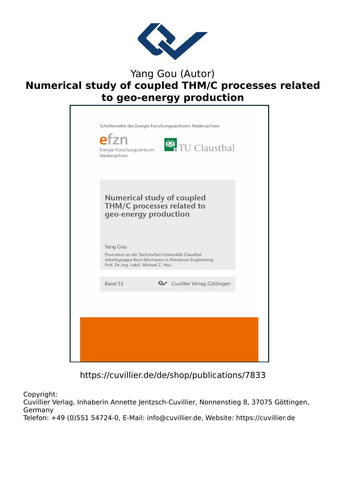

## Yang Gou (Autor) **Numerical study of coupled THM/C processes related to geo-energy production**



https://cuvillier.de/de/shop/publications/7833

Copyright:

Cuvillier Verlag, Inhaberin Annette Jentzsch-Cuvillier, Nonnenstieg 8, 37075 Göttingen, Germany Telefon: +49 (0)551 54724-0, E-Mail: info@cuvillier.de, Website: https://cuvillier.de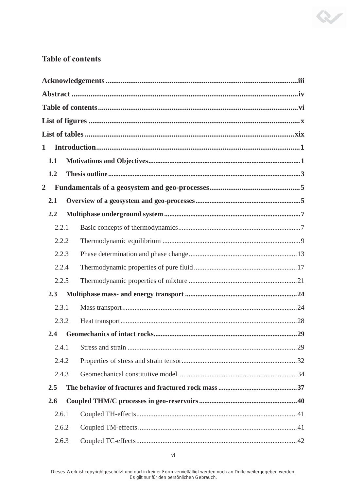## **Table of contents**

| 1            |       |  |  |  |  |  |  |  |  |  |  |
|--------------|-------|--|--|--|--|--|--|--|--|--|--|
| 1.1          |       |  |  |  |  |  |  |  |  |  |  |
| 1.2          |       |  |  |  |  |  |  |  |  |  |  |
| $\mathbf{2}$ |       |  |  |  |  |  |  |  |  |  |  |
|              | 2.1   |  |  |  |  |  |  |  |  |  |  |
|              | 2.2   |  |  |  |  |  |  |  |  |  |  |
|              | 2.2.1 |  |  |  |  |  |  |  |  |  |  |
|              | 2.2.2 |  |  |  |  |  |  |  |  |  |  |
|              | 2.2.3 |  |  |  |  |  |  |  |  |  |  |
|              | 2.2.4 |  |  |  |  |  |  |  |  |  |  |
|              | 2.2.5 |  |  |  |  |  |  |  |  |  |  |
|              | 2.3   |  |  |  |  |  |  |  |  |  |  |
|              | 2.3.1 |  |  |  |  |  |  |  |  |  |  |
|              | 2.3.2 |  |  |  |  |  |  |  |  |  |  |
|              | 2.4   |  |  |  |  |  |  |  |  |  |  |
|              | 2.4.1 |  |  |  |  |  |  |  |  |  |  |
|              | 2.4.2 |  |  |  |  |  |  |  |  |  |  |
|              | 2.4.3 |  |  |  |  |  |  |  |  |  |  |
|              | 2.5   |  |  |  |  |  |  |  |  |  |  |
|              | 2.6   |  |  |  |  |  |  |  |  |  |  |
|              | 2.6.1 |  |  |  |  |  |  |  |  |  |  |
|              | 2.6.2 |  |  |  |  |  |  |  |  |  |  |
|              | 2.6.3 |  |  |  |  |  |  |  |  |  |  |

R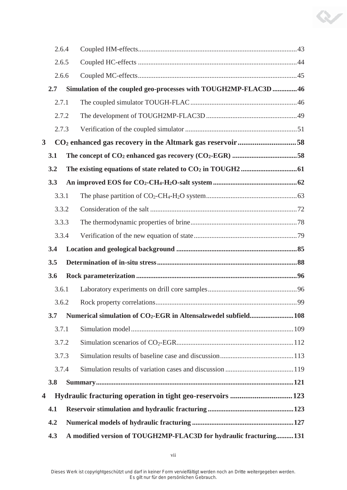|                         | 2.6.4 |  |                                                                      |  |
|-------------------------|-------|--|----------------------------------------------------------------------|--|
|                         | 2.6.5 |  |                                                                      |  |
|                         | 2.6.6 |  |                                                                      |  |
| 2.7                     |       |  | Simulation of the coupled geo-processes with TOUGH2MP-FLAC3D 46      |  |
|                         | 2.7.1 |  |                                                                      |  |
|                         | 2.7.2 |  |                                                                      |  |
|                         | 2.7.3 |  |                                                                      |  |
| $\overline{\mathbf{3}}$ |       |  | CO <sub>2</sub> enhanced gas recovery in the Altmark gas reservoir58 |  |
| 3.1                     |       |  |                                                                      |  |
| 3.2                     |       |  |                                                                      |  |
| 3.3                     |       |  |                                                                      |  |
|                         | 3.3.1 |  |                                                                      |  |
|                         | 3.3.2 |  |                                                                      |  |
|                         | 3.3.3 |  |                                                                      |  |
|                         | 3.3.4 |  |                                                                      |  |
|                         |       |  |                                                                      |  |
| 3.4                     |       |  |                                                                      |  |
| 3.5                     |       |  |                                                                      |  |
| 3.6                     |       |  |                                                                      |  |
|                         | 3.6.1 |  |                                                                      |  |
|                         |       |  |                                                                      |  |
| 3.7                     |       |  | Numerical simulation of CO2-EGR in Altensalzwedel subfield108        |  |
|                         | 3.7.1 |  |                                                                      |  |
|                         | 3.7.2 |  |                                                                      |  |
|                         | 3.7.3 |  |                                                                      |  |
|                         | 3.7.4 |  |                                                                      |  |
| 3.8                     |       |  |                                                                      |  |
| 4                       |       |  |                                                                      |  |
| 4.1                     |       |  |                                                                      |  |
| 4.2                     |       |  |                                                                      |  |

 $\infty$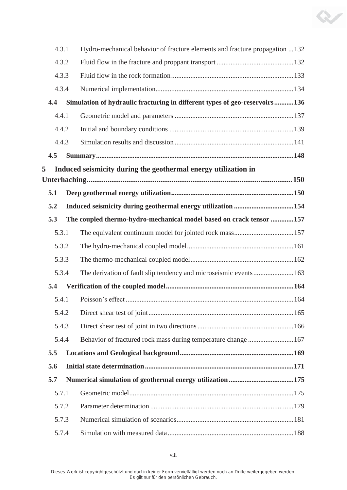| 4.3.1 | Hydro-mechanical behavior of fracture elements and fracture propagation 132 |
|-------|-----------------------------------------------------------------------------|
| 4.3.2 |                                                                             |
| 4.3.3 |                                                                             |
| 4.3.4 |                                                                             |
| 4.4   | Simulation of hydraulic fracturing in different types of geo-reservoirs136  |
| 4.4.1 |                                                                             |
| 4.4.2 |                                                                             |
| 4.4.3 |                                                                             |
| 4.5   |                                                                             |
| 5     | Induced seismicity during the geothermal energy utilization in              |
|       |                                                                             |
| 5.1   |                                                                             |
| 5.2   |                                                                             |
| 5.3   | The coupled thermo-hydro-mechanical model based on crack tensor 157         |
| 5.3.1 |                                                                             |
| 5.3.2 |                                                                             |
| 5.3.3 |                                                                             |
| 5.3.4 |                                                                             |
| 5.4   |                                                                             |
|       | 5.4.1 Poisson's effect.<br>.164                                             |
| 5.4.2 |                                                                             |
| 5.4.3 |                                                                             |
| 5.4.4 | Behavior of fractured rock mass during temperature change 167               |
| 5.5   |                                                                             |
| 5.6   |                                                                             |
| 5.7   |                                                                             |
| 5.7.1 |                                                                             |
| 5.7.2 |                                                                             |
| 5.7.3 |                                                                             |
| 5.7.4 |                                                                             |

K